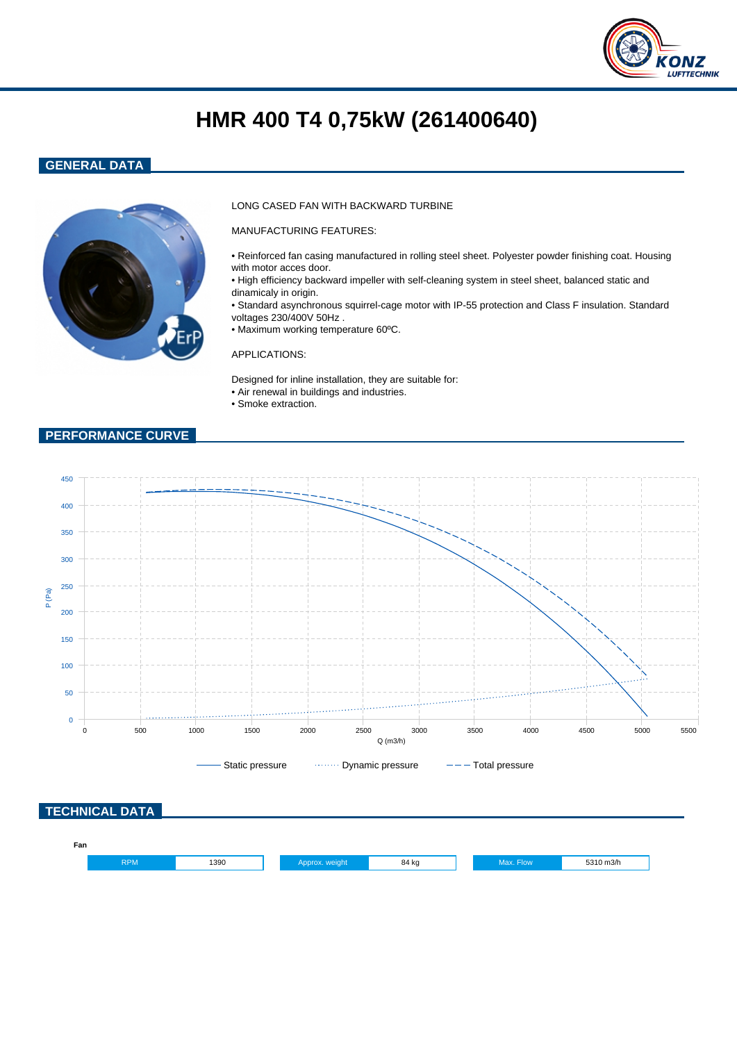

# **HMR 400 T4 0,75kW (261400640)**

### **GENERAL DATA**



#### LONG CASED FAN WITH BACKWARD TURBINE

MANUFACTURING FEATURES:

- Reinforced fan casing manufactured in rolling steel sheet. Polyester powder finishing coat. Housing with motor acces door.
- High efficiency backward impeller with self-cleaning system in steel sheet, balanced static and dinamicaly in origin.
- Standard asynchronous squirrel-cage motor with IP-55 protection and Class F insulation. Standard voltages 230/400V 50Hz .
- Maximum working temperature 60ºC.

#### APPLICATIONS:

Designed for inline installation, they are suitable for: • Air renewal in buildings and industries.

• Smoke extraction.

#### **PERFORMANCE CURVE**

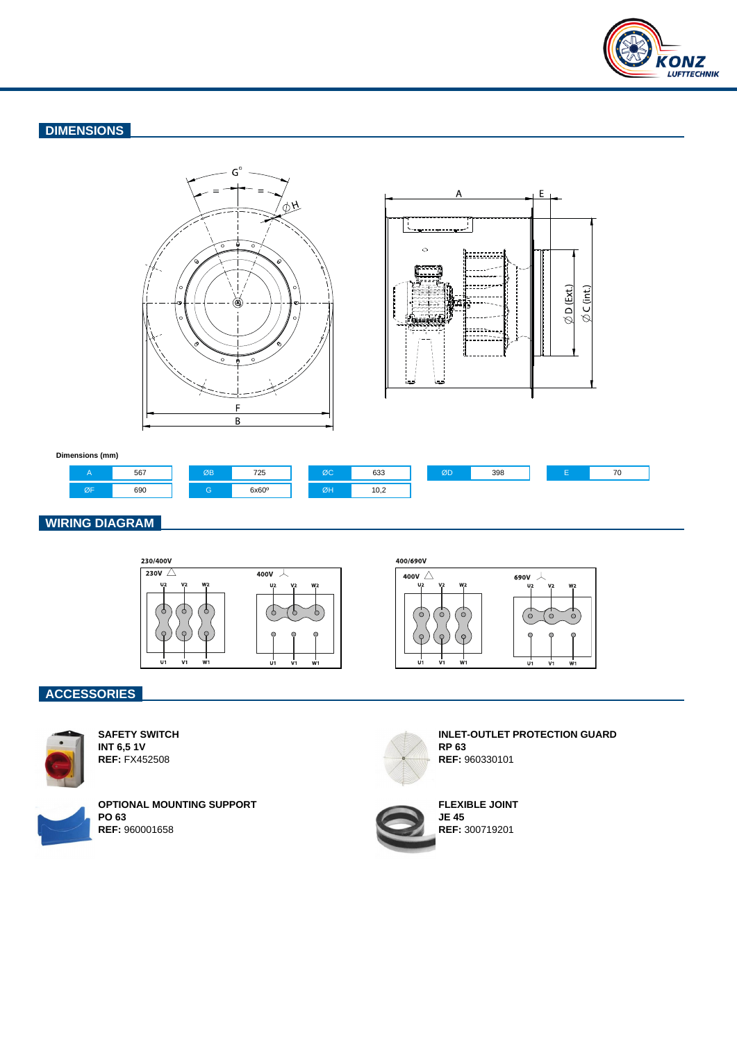

## **DIMENSIONS**





#### **Dimensions (mm)**



## **WIRING DIAGRAM**



## **ACCESSORIES**



**SAFETY SWITCH INT 6,5 1V REF:** FX452508



**OPTIONAL MOUNTING SUPPORT PO 63 REF:** 960001658





**INLET-OUTLET PROTECTION GUARD RP 63 REF:** 960330101



**FLEXIBLE JOINT REF:** 300719201